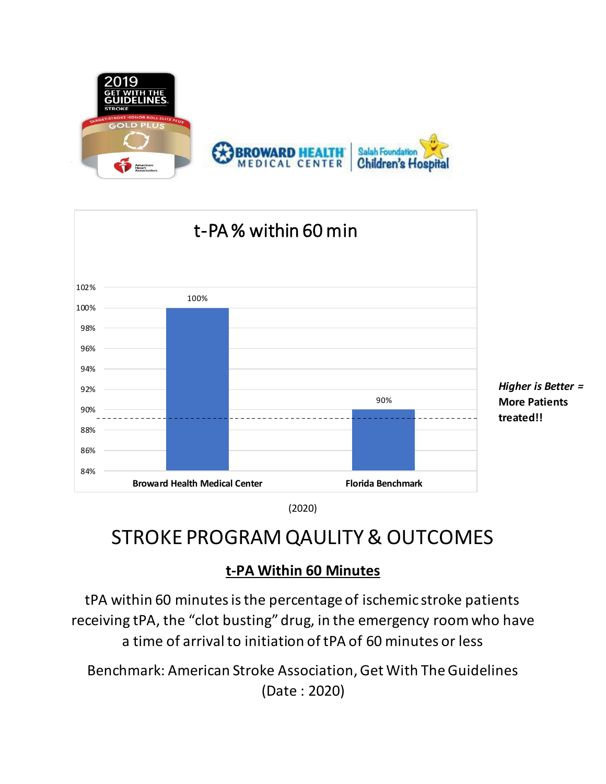



(2020)

## STROKE PROGRAM QAULITY & OUTCOMES

#### **t-PA Within 60 Minutes**

tPA within 60 minutes is the percentage of ischemic stroke patients receiving tPA, the "clot busting" drug, in the emergency room who have a time of arrival to initiation of tPA of 60 minutes or less

Benchmark: American Stroke Association, Get With The Guidelines (Date : 2020)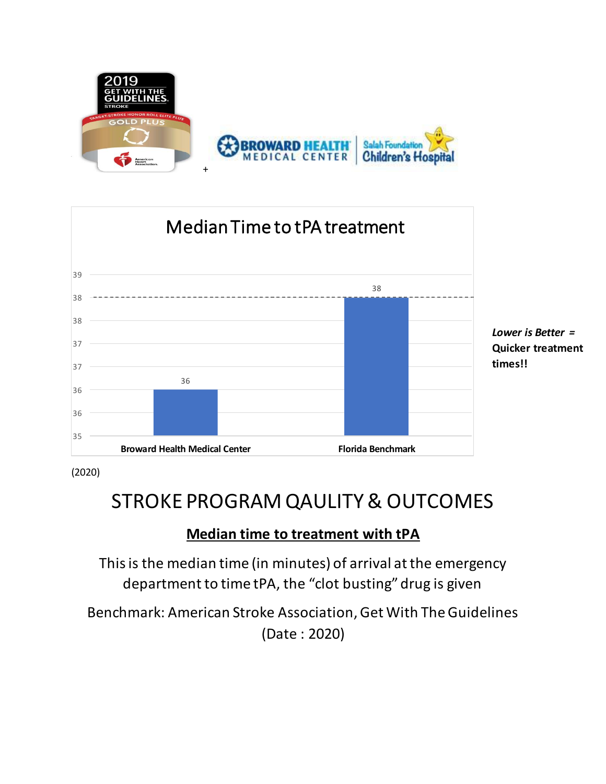



(2020)

## STROKE PROGRAM QAULITY & OUTCOMES

#### **Median time to treatment with tPA**

This is the median time (in minutes) of arrival at the emergency department to time tPA, the "clot busting" drug is given

Benchmark: American Stroke Association, Get With The Guidelines (Date : 2020)